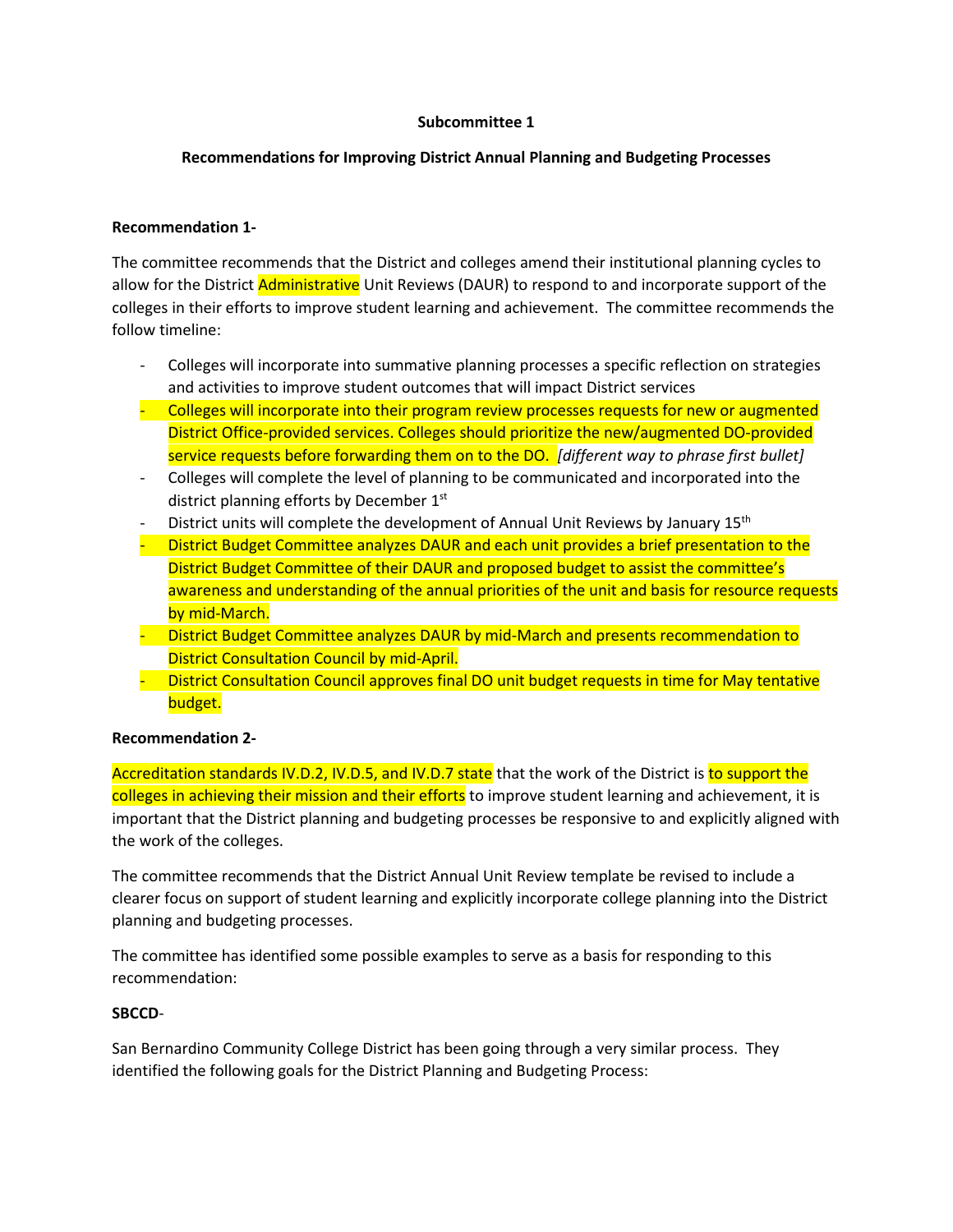# **Subcommittee 1**

# **Recommendations for Improving District Annual Planning and Budgeting Processes**

# **Recommendation 1-**

The committee recommends that the District and colleges amend their institutional planning cycles to allow for the District Administrative Unit Reviews (DAUR) to respond to and incorporate support of the colleges in their efforts to improve student learning and achievement. The committee recommends the follow timeline:

- Colleges will incorporate into summative planning processes a specific reflection on strategies and activities to improve student outcomes that will impact District services
- Colleges will incorporate into their program review processes requests for new or augmented District Office-provided services. Colleges should prioritize the new/augmented DO-provided service requests before forwarding them on to the DO. *[different way to phrase first bullet]*
- Colleges will complete the level of planning to be communicated and incorporated into the district planning efforts by December 1<sup>st</sup>
- District units will complete the development of Annual Unit Reviews by January 15<sup>th</sup>
- District Budget Committee analyzes DAUR and each unit provides a brief presentation to the District Budget Committee of their DAUR and proposed budget to assist the committee's awareness and understanding of the annual priorities of the unit and basis for resource requests by mid-March.
- District Budget Committee analyzes DAUR by mid-March and presents recommendation to District Consultation Council by mid-April.
- District Consultation Council approves final DO unit budget requests in time for May tentative budget.

# **Recommendation 2-**

Accreditation standards IV.D.2, IV.D.5, and IV.D.7 state that the work of the District is to support the colleges in achieving their mission and their efforts to improve student learning and achievement, it is important that the District planning and budgeting processes be responsive to and explicitly aligned with the work of the colleges.

The committee recommends that the District Annual Unit Review template be revised to include a clearer focus on support of student learning and explicitly incorporate college planning into the District planning and budgeting processes.

The committee has identified some possible examples to serve as a basis for responding to this recommendation:

# **SBCCD**-

San Bernardino Community College District has been going through a very similar process. They identified the following goals for the District Planning and Budgeting Process: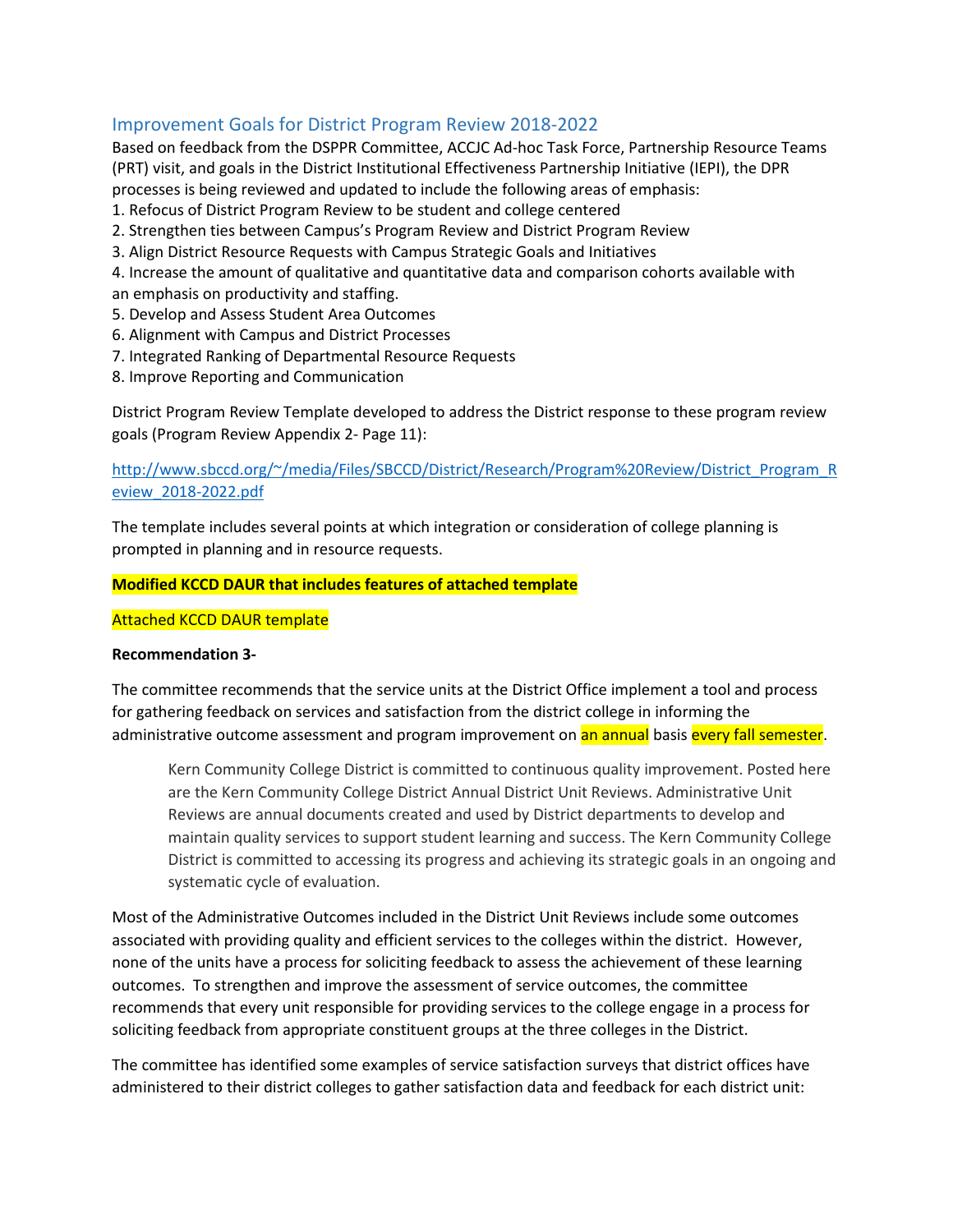# Improvement Goals for District Program Review 2018-2022

Based on feedback from the DSPPR Committee, ACCJC Ad-hoc Task Force, Partnership Resource Teams (PRT) visit, and goals in the District Institutional Effectiveness Partnership Initiative (IEPI), the DPR processes is being reviewed and updated to include the following areas of emphasis:

- 1. Refocus of District Program Review to be student and college centered
- 2. Strengthen ties between Campus's Program Review and District Program Review
- 3. Align District Resource Requests with Campus Strategic Goals and Initiatives
- 4. Increase the amount of qualitative and quantitative data and comparison cohorts available with an emphasis on productivity and staffing.
- 5. Develop and Assess Student Area Outcomes
- 6. Alignment with Campus and District Processes
- 7. Integrated Ranking of Departmental Resource Requests
- 8. Improve Reporting and Communication

District Program Review Template developed to address the District response to these program review goals (Program Review Appendix 2- Page 11):

# [http://www.sbccd.org/~/media/Files/SBCCD/District/Research/Program%20Review/District\\_Program\\_R](http://www.sbccd.org/%7E/media/Files/SBCCD/District/Research/Program%20Review/District_Program_Review_2018-2022.pdf) [eview\\_2018-2022.pdf](http://www.sbccd.org/%7E/media/Files/SBCCD/District/Research/Program%20Review/District_Program_Review_2018-2022.pdf)

The template includes several points at which integration or consideration of college planning is prompted in planning and in resource requests.

#### **Modified KCCD DAUR that includes features of attached template**

#### Attached KCCD DAUR template

#### **Recommendation 3-**

The committee recommends that the service units at the District Office implement a tool and process for gathering feedback on services and satisfaction from the district college in informing the administrative outcome assessment and program improvement on an annual basis every fall semester.

Kern Community College District is committed to continuous quality improvement. Posted here are the Kern Community College District Annual District Unit Reviews. Administrative Unit Reviews are annual documents created and used by District departments to develop and maintain quality services to support student learning and success. The Kern Community College District is committed to accessing its progress and achieving its strategic goals in an ongoing and systematic cycle of evaluation.

Most of the Administrative Outcomes included in the District Unit Reviews include some outcomes associated with providing quality and efficient services to the colleges within the district. However, none of the units have a process for soliciting feedback to assess the achievement of these learning outcomes. To strengthen and improve the assessment of service outcomes, the committee recommends that every unit responsible for providing services to the college engage in a process for soliciting feedback from appropriate constituent groups at the three colleges in the District.

The committee has identified some examples of service satisfaction surveys that district offices have administered to their district colleges to gather satisfaction data and feedback for each district unit: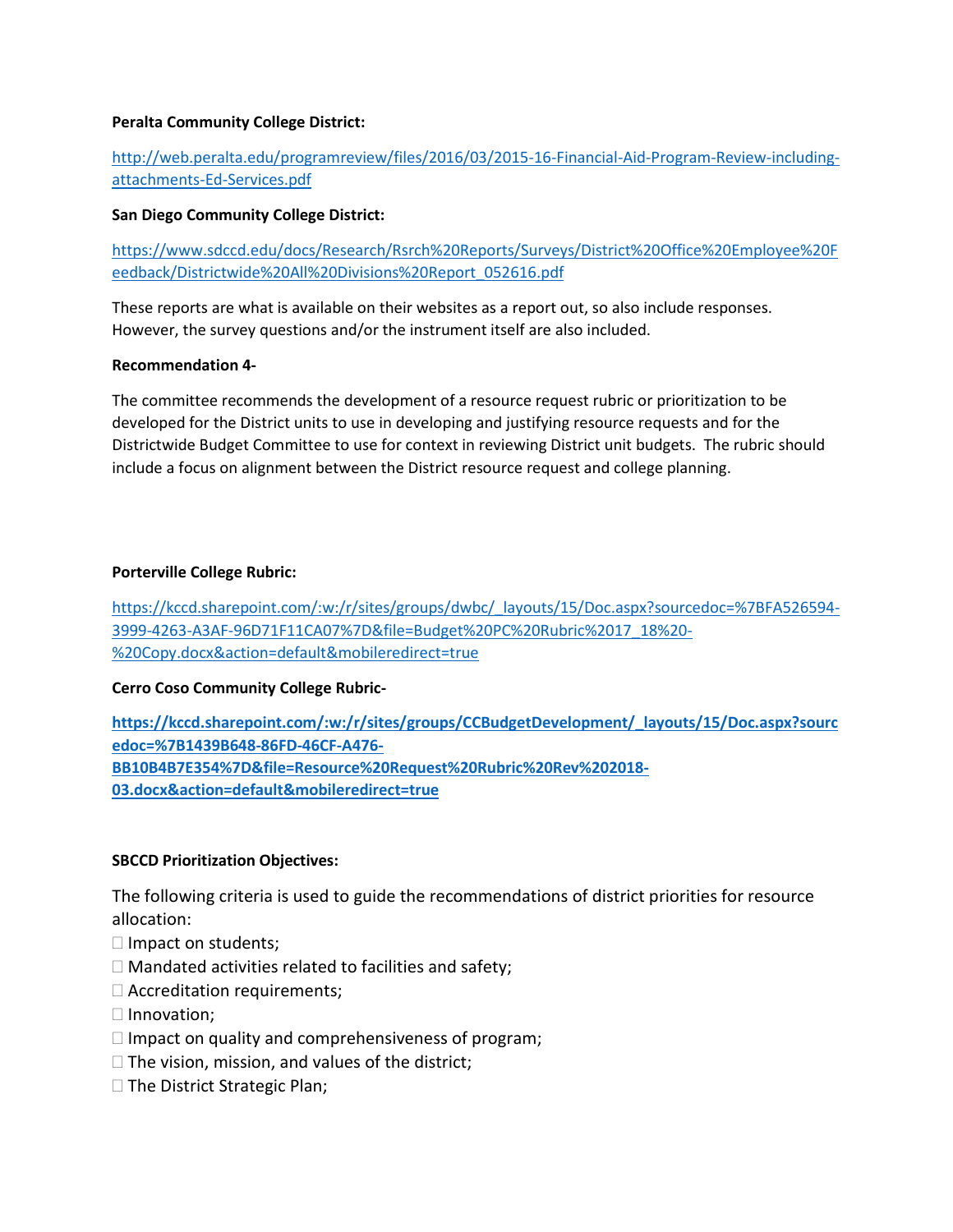# **Peralta Community College District:**

# [http://web.peralta.edu/programreview/files/2016/03/2015-16-Financial-Aid-Program-Review-including](http://web.peralta.edu/programreview/files/2016/03/2015-16-Financial-Aid-Program-Review-including-attachments-Ed-Services.pdf)[attachments-Ed-Services.pdf](http://web.peralta.edu/programreview/files/2016/03/2015-16-Financial-Aid-Program-Review-including-attachments-Ed-Services.pdf)

# **San Diego Community College District:**

[https://www.sdccd.edu/docs/Research/Rsrch%20Reports/Surveys/District%20Office%20Employee%20F](https://www.sdccd.edu/docs/Research/Rsrch%20Reports/Surveys/District%20Office%20Employee%20Feedback/Districtwide%20All%20Divisions%20Report_052616.pdf) [eedback/Districtwide%20All%20Divisions%20Report\\_052616.pdf](https://www.sdccd.edu/docs/Research/Rsrch%20Reports/Surveys/District%20Office%20Employee%20Feedback/Districtwide%20All%20Divisions%20Report_052616.pdf)

These reports are what is available on their websites as a report out, so also include responses. However, the survey questions and/or the instrument itself are also included.

# **Recommendation 4-**

The committee recommends the development of a resource request rubric or prioritization to be developed for the District units to use in developing and justifying resource requests and for the Districtwide Budget Committee to use for context in reviewing District unit budgets. The rubric should include a focus on alignment between the District resource request and college planning.

# **Porterville College Rubric:**

[https://kccd.sharepoint.com/:w:/r/sites/groups/dwbc/\\_layouts/15/Doc.aspx?sourcedoc=%7BFA526594-](https://kccd.sharepoint.com/:w:/r/sites/groups/dwbc/_layouts/15/Doc.aspx?sourcedoc=%7BFA526594-3999-4263-A3AF-96D71F11CA07%7D&file=Budget%20PC%20Rubric%2017_18%20-%20Copy.docx&action=default&mobileredirect=true) [3999-4263-A3AF-96D71F11CA07%7D&file=Budget%20PC%20Rubric%2017\\_18%20-](https://kccd.sharepoint.com/:w:/r/sites/groups/dwbc/_layouts/15/Doc.aspx?sourcedoc=%7BFA526594-3999-4263-A3AF-96D71F11CA07%7D&file=Budget%20PC%20Rubric%2017_18%20-%20Copy.docx&action=default&mobileredirect=true) [%20Copy.docx&action=default&mobileredirect=true](https://kccd.sharepoint.com/:w:/r/sites/groups/dwbc/_layouts/15/Doc.aspx?sourcedoc=%7BFA526594-3999-4263-A3AF-96D71F11CA07%7D&file=Budget%20PC%20Rubric%2017_18%20-%20Copy.docx&action=default&mobileredirect=true)

# **Cerro Coso Community College Rubric-**

**[https://kccd.sharepoint.com/:w:/r/sites/groups/CCBudgetDevelopment/\\_layouts/15/Doc.aspx?sourc](https://kccd.sharepoint.com/:w:/r/sites/groups/CCBudgetDevelopment/_layouts/15/Doc.aspx?sourcedoc=%7B1439B648-86FD-46CF-A476-BB10B4B7E354%7D&file=Resource%20Request%20Rubric%20Rev%202018-03.docx&action=default&mobileredirect=true) [edoc=%7B1439B648-86FD-46CF-A476-](https://kccd.sharepoint.com/:w:/r/sites/groups/CCBudgetDevelopment/_layouts/15/Doc.aspx?sourcedoc=%7B1439B648-86FD-46CF-A476-BB10B4B7E354%7D&file=Resource%20Request%20Rubric%20Rev%202018-03.docx&action=default&mobileredirect=true) [BB10B4B7E354%7D&file=Resource%20Request%20Rubric%20Rev%202018-](https://kccd.sharepoint.com/:w:/r/sites/groups/CCBudgetDevelopment/_layouts/15/Doc.aspx?sourcedoc=%7B1439B648-86FD-46CF-A476-BB10B4B7E354%7D&file=Resource%20Request%20Rubric%20Rev%202018-03.docx&action=default&mobileredirect=true) [03.docx&action=default&mobileredirect=true](https://kccd.sharepoint.com/:w:/r/sites/groups/CCBudgetDevelopment/_layouts/15/Doc.aspx?sourcedoc=%7B1439B648-86FD-46CF-A476-BB10B4B7E354%7D&file=Resource%20Request%20Rubric%20Rev%202018-03.docx&action=default&mobileredirect=true)**

# **SBCCD Prioritization Objectives:**

The following criteria is used to guide the recommendations of district priorities for resource allocation:

- $\Box$  Impact on students;
- $\Box$  Mandated activities related to facilities and safety;
- Accreditation requirements;
- $\Box$  Innovation;
- $\Box$  Impact on quality and comprehensiveness of program;
- $\Box$  The vision, mission, and values of the district;
- □ The District Strategic Plan;